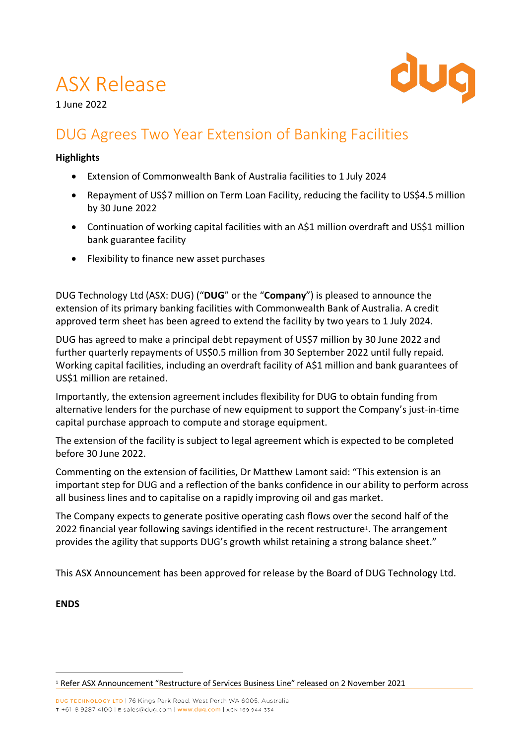# ASX Release



1 June 2022

## DUG Agrees Two Year Extension of Banking Facilities

#### **Highlights**

- Extension of Commonwealth Bank of Australia facilities to 1 July 2024
- Repayment of US\$7 million on Term Loan Facility, reducing the facility to US\$4.5 million by 30 June 2022
- Continuation of working capital facilities with an A\$1 million overdraft and US\$1 million bank guarantee facility
- Flexibility to finance new asset purchases

DUG Technology Ltd (ASX: DUG) ("**DUG**" or the "**Company**") is pleased to announce the extension of its primary banking facilities with Commonwealth Bank of Australia. A credit approved term sheet has been agreed to extend the facility by two years to 1 July 2024.

DUG has agreed to make a principal debt repayment of US\$7 million by 30 June 2022 and further quarterly repayments of US\$0.5 million from 30 September 2022 until fully repaid. Working capital facilities, including an overdraft facility of A\$1 million and bank guarantees of US\$1 million are retained.

Importantly, the extension agreement includes flexibility for DUG to obtain funding from alternative lenders for the purchase of new equipment to support the Company's just-in-time capital purchase approach to compute and storage equipment.

The extension of the facility is subject to legal agreement which is expected to be completed before 30 June 2022.

Commenting on the extension of facilities, Dr Matthew Lamont said: "This extension is an important step for DUG and a reflection of the banks confidence in our ability to perform across all business lines and to capitalise on a rapidly improving oil and gas market.

The Company expects to generate positive operating cash flows over the second half of the 2022 financial year following savings identified in the recent restructure<sup>1</sup>. The arrangement provides the agility that supports DUG's growth whilst retaining a strong balance sheet."

This ASX Announcement has been approved for release by the Board of DUG Technology Ltd.

**ENDS**

<u>.</u>

<sup>1</sup> Refer ASX Announcement "Restructure of Services Business Line" released on 2 November 2021